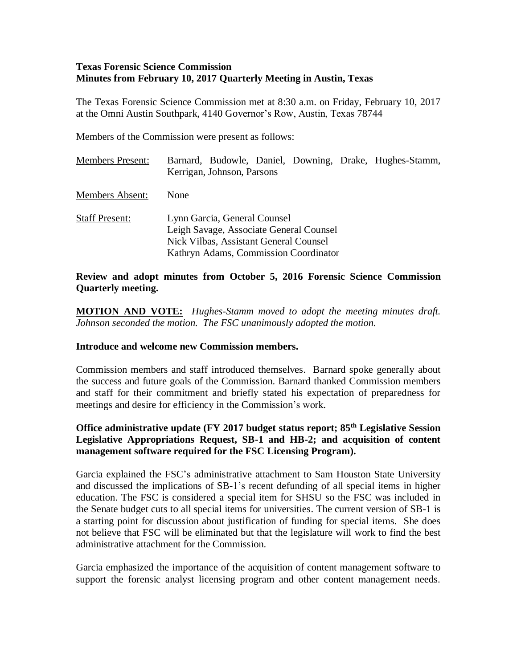# **Texas Forensic Science Commission Minutes from February 10, 2017 Quarterly Meeting in Austin, Texas**

The Texas Forensic Science Commission met at 8:30 a.m. on Friday, February 10, 2017 at the Omni Austin Southpark, 4140 Governor's Row, Austin, Texas 78744

Members of the Commission were present as follows:

| <b>Members Present:</b> | Barnard, Budowle, Daniel, Downing, Drake, Hughes-Stamm,<br>Kerrigan, Johnson, Parsons                                                                      |
|-------------------------|------------------------------------------------------------------------------------------------------------------------------------------------------------|
| <b>Members Absent:</b>  | <b>None</b>                                                                                                                                                |
| <b>Staff Present:</b>   | Lynn Garcia, General Counsel<br>Leigh Savage, Associate General Counsel<br>Nick Vilbas, Assistant General Counsel<br>Kathryn Adams, Commission Coordinator |

# **Review and adopt minutes from October 5, 2016 Forensic Science Commission Quarterly meeting.**

**MOTION AND VOTE:** *Hughes-Stamm moved to adopt the meeting minutes draft. Johnson seconded the motion. The FSC unanimously adopted the motion.*

## **Introduce and welcome new Commission members.**

Commission members and staff introduced themselves. Barnard spoke generally about the success and future goals of the Commission. Barnard thanked Commission members and staff for their commitment and briefly stated his expectation of preparedness for meetings and desire for efficiency in the Commission's work.

# **Office administrative update (FY 2017 budget status report; 85th Legislative Session Legislative Appropriations Request, SB-1 and HB-2; and acquisition of content management software required for the FSC Licensing Program).**

Garcia explained the FSC's administrative attachment to Sam Houston State University and discussed the implications of SB-1's recent defunding of all special items in higher education. The FSC is considered a special item for SHSU so the FSC was included in the Senate budget cuts to all special items for universities. The current version of SB-1 is a starting point for discussion about justification of funding for special items. She does not believe that FSC will be eliminated but that the legislature will work to find the best administrative attachment for the Commission.

Garcia emphasized the importance of the acquisition of content management software to support the forensic analyst licensing program and other content management needs.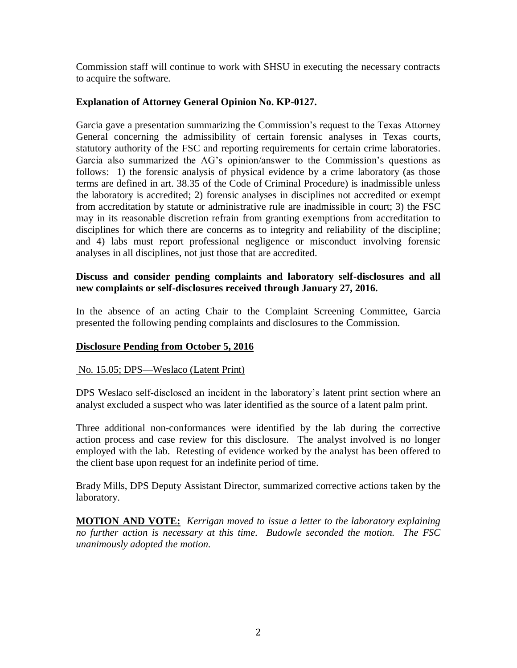Commission staff will continue to work with SHSU in executing the necessary contracts to acquire the software.

# **Explanation of Attorney General Opinion No. KP-0127.**

Garcia gave a presentation summarizing the Commission's request to the Texas Attorney General concerning the admissibility of certain forensic analyses in Texas courts, statutory authority of the FSC and reporting requirements for certain crime laboratories. Garcia also summarized the AG's opinion/answer to the Commission's questions as follows: 1) the forensic analysis of physical evidence by a crime laboratory (as those terms are defined in art. 38.35 of the Code of Criminal Procedure) is inadmissible unless the laboratory is accredited; 2) forensic analyses in disciplines not accredited or exempt from accreditation by statute or administrative rule are inadmissible in court; 3) the FSC may in its reasonable discretion refrain from granting exemptions from accreditation to disciplines for which there are concerns as to integrity and reliability of the discipline; and 4) labs must report professional negligence or misconduct involving forensic analyses in all disciplines, not just those that are accredited.

# **Discuss and consider pending complaints and laboratory self-disclosures and all new complaints or self-disclosures received through January 27, 2016.**

In the absence of an acting Chair to the Complaint Screening Committee, Garcia presented the following pending complaints and disclosures to the Commission.

# **Disclosure Pending from October 5, 2016**

## No. 15.05; DPS—Weslaco (Latent Print)

DPS Weslaco self-disclosed an incident in the laboratory's latent print section where an analyst excluded a suspect who was later identified as the source of a latent palm print.

Three additional non-conformances were identified by the lab during the corrective action process and case review for this disclosure. The analyst involved is no longer employed with the lab. Retesting of evidence worked by the analyst has been offered to the client base upon request for an indefinite period of time.

Brady Mills, DPS Deputy Assistant Director, summarized corrective actions taken by the laboratory.

**MOTION AND VOTE:** *Kerrigan moved to issue a letter to the laboratory explaining no further action is necessary at this time. Budowle seconded the motion. The FSC unanimously adopted the motion.*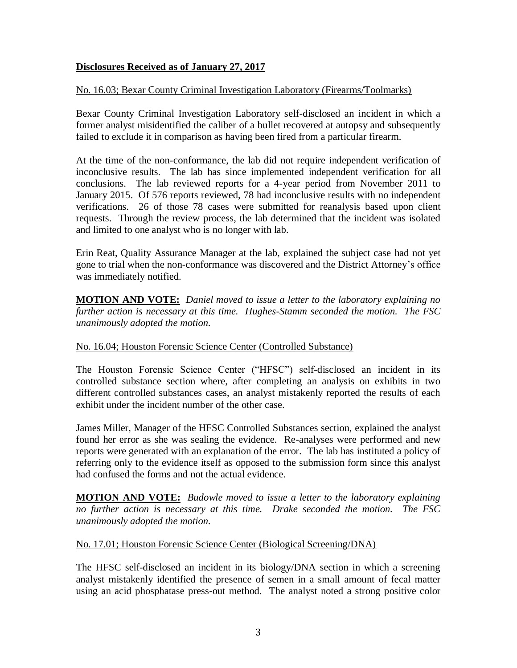# **Disclosures Received as of January 27, 2017**

# No. 16.03; Bexar County Criminal Investigation Laboratory (Firearms/Toolmarks)

Bexar County Criminal Investigation Laboratory self-disclosed an incident in which a former analyst misidentified the caliber of a bullet recovered at autopsy and subsequently failed to exclude it in comparison as having been fired from a particular firearm.

At the time of the non-conformance, the lab did not require independent verification of inconclusive results. The lab has since implemented independent verification for all conclusions. The lab reviewed reports for a 4-year period from November 2011 to January 2015. Of 576 reports reviewed, 78 had inconclusive results with no independent verifications. 26 of those 78 cases were submitted for reanalysis based upon client requests. Through the review process, the lab determined that the incident was isolated and limited to one analyst who is no longer with lab.

Erin Reat, Quality Assurance Manager at the lab, explained the subject case had not yet gone to trial when the non-conformance was discovered and the District Attorney's office was immediately notified.

**MOTION AND VOTE:** *Daniel moved to issue a letter to the laboratory explaining no further action is necessary at this time. Hughes-Stamm seconded the motion. The FSC unanimously adopted the motion.*

# No. 16.04; Houston Forensic Science Center (Controlled Substance)

The Houston Forensic Science Center ("HFSC") self-disclosed an incident in its controlled substance section where, after completing an analysis on exhibits in two different controlled substances cases, an analyst mistakenly reported the results of each exhibit under the incident number of the other case.

James Miller, Manager of the HFSC Controlled Substances section, explained the analyst found her error as she was sealing the evidence. Re-analyses were performed and new reports were generated with an explanation of the error. The lab has instituted a policy of referring only to the evidence itself as opposed to the submission form since this analyst had confused the forms and not the actual evidence.

**MOTION AND VOTE:** *Budowle moved to issue a letter to the laboratory explaining no further action is necessary at this time. Drake seconded the motion. The FSC unanimously adopted the motion.*

# No. 17.01; Houston Forensic Science Center (Biological Screening/DNA)

The HFSC self-disclosed an incident in its biology/DNA section in which a screening analyst mistakenly identified the presence of semen in a small amount of fecal matter using an acid phosphatase press-out method. The analyst noted a strong positive color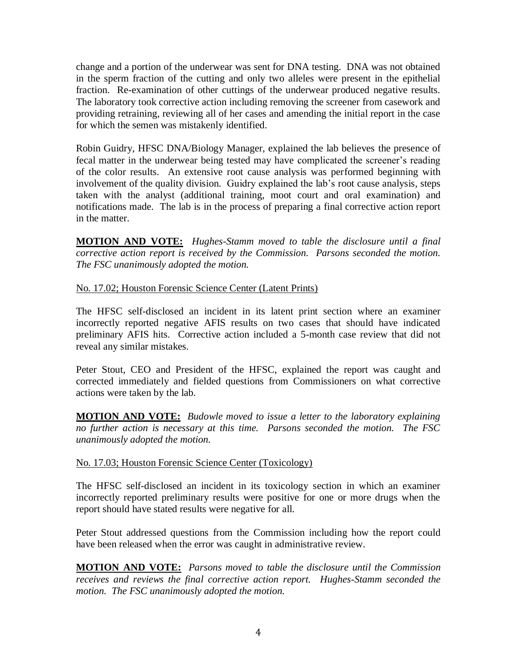change and a portion of the underwear was sent for DNA testing. DNA was not obtained in the sperm fraction of the cutting and only two alleles were present in the epithelial fraction. Re-examination of other cuttings of the underwear produced negative results. The laboratory took corrective action including removing the screener from casework and providing retraining, reviewing all of her cases and amending the initial report in the case for which the semen was mistakenly identified.

Robin Guidry, HFSC DNA/Biology Manager, explained the lab believes the presence of fecal matter in the underwear being tested may have complicated the screener's reading of the color results. An extensive root cause analysis was performed beginning with involvement of the quality division. Guidry explained the lab's root cause analysis, steps taken with the analyst (additional training, moot court and oral examination) and notifications made. The lab is in the process of preparing a final corrective action report in the matter.

**MOTION AND VOTE:** *Hughes-Stamm moved to table the disclosure until a final corrective action report is received by the Commission. Parsons seconded the motion. The FSC unanimously adopted the motion.*

# No. 17.02; Houston Forensic Science Center (Latent Prints)

The HFSC self-disclosed an incident in its latent print section where an examiner incorrectly reported negative AFIS results on two cases that should have indicated preliminary AFIS hits. Corrective action included a 5-month case review that did not reveal any similar mistakes.

Peter Stout, CEO and President of the HFSC, explained the report was caught and corrected immediately and fielded questions from Commissioners on what corrective actions were taken by the lab.

**MOTION AND VOTE:** *Budowle moved to issue a letter to the laboratory explaining no further action is necessary at this time. Parsons seconded the motion. The FSC unanimously adopted the motion.*

## No. 17.03; Houston Forensic Science Center (Toxicology)

The HFSC self-disclosed an incident in its toxicology section in which an examiner incorrectly reported preliminary results were positive for one or more drugs when the report should have stated results were negative for all.

Peter Stout addressed questions from the Commission including how the report could have been released when the error was caught in administrative review.

**MOTION AND VOTE:** *Parsons moved to table the disclosure until the Commission receives and reviews the final corrective action report. Hughes-Stamm seconded the motion. The FSC unanimously adopted the motion.*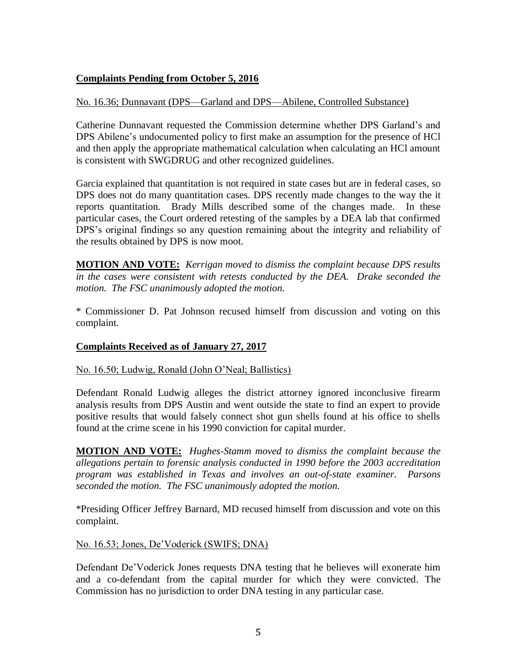# **Complaints Pending from October 5, 2016**

# No. 16.36; Dunnavant (DPS—Garland and DPS—Abilene, Controlled Substance)

Catherine Dunnavant requested the Commission determine whether DPS Garland's and DPS Abilene's undocumented policy to first make an assumption for the presence of HCl and then apply the appropriate mathematical calculation when calculating an HCl amount is consistent with SWGDRUG and other recognized guidelines.

Garcia explained that quantitation is not required in state cases but are in federal cases, so DPS does not do many quantitation cases. DPS recently made changes to the way the it reports quantitation. Brady Mills described some of the changes made. In these particular cases, the Court ordered retesting of the samples by a DEA lab that confirmed DPS's original findings so any question remaining about the integrity and reliability of the results obtained by DPS is now moot.

**MOTION AND VOTE:** *Kerrigan moved to dismiss the complaint because DPS results in the cases were consistent with retests conducted by the DEA. Drake seconded the motion. The FSC unanimously adopted the motion.*

\* Commissioner D. Pat Johnson recused himself from discussion and voting on this complaint.

# **Complaints Received as of January 27, 2017**

## No. 16.50; Ludwig, Ronald (John O'Neal; Ballistics)

Defendant Ronald Ludwig alleges the district attorney ignored inconclusive firearm analysis results from DPS Austin and went outside the state to find an expert to provide positive results that would falsely connect shot gun shells found at his office to shells found at the crime scene in his 1990 conviction for capital murder.

**MOTION AND VOTE:** *Hughes-Stamm moved to dismiss the complaint because the allegations pertain to forensic analysis conducted in 1990 before the 2003 accreditation program was established in Texas and involves an out-of-state examiner. Parsons seconded the motion. The FSC unanimously adopted the motion.*

\*Presiding Officer Jeffrey Barnard, MD recused himself from discussion and vote on this complaint.

## No. 16.53; Jones, De'Voderick (SWIFS; DNA)

Defendant De'Voderick Jones requests DNA testing that he believes will exonerate him and a co-defendant from the capital murder for which they were convicted. The Commission has no jurisdiction to order DNA testing in any particular case.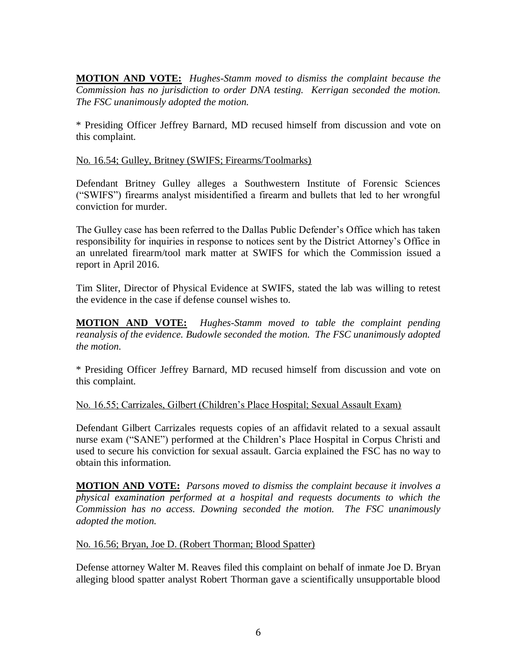**MOTION AND VOTE:** *Hughes-Stamm moved to dismiss the complaint because the Commission has no jurisdiction to order DNA testing. Kerrigan seconded the motion. The FSC unanimously adopted the motion.*

\* Presiding Officer Jeffrey Barnard, MD recused himself from discussion and vote on this complaint.

# No. 16.54; Gulley, Britney (SWIFS; Firearms/Toolmarks)

Defendant Britney Gulley alleges a Southwestern Institute of Forensic Sciences ("SWIFS") firearms analyst misidentified a firearm and bullets that led to her wrongful conviction for murder.

The Gulley case has been referred to the Dallas Public Defender's Office which has taken responsibility for inquiries in response to notices sent by the District Attorney's Office in an unrelated firearm/tool mark matter at SWIFS for which the Commission issued a report in April 2016.

Tim Sliter, Director of Physical Evidence at SWIFS, stated the lab was willing to retest the evidence in the case if defense counsel wishes to.

**MOTION AND VOTE:** *Hughes-Stamm moved to table the complaint pending reanalysis of the evidence. Budowle seconded the motion. The FSC unanimously adopted the motion.*

\* Presiding Officer Jeffrey Barnard, MD recused himself from discussion and vote on this complaint.

## No. 16.55; Carrizales, Gilbert (Children's Place Hospital; Sexual Assault Exam)

Defendant Gilbert Carrizales requests copies of an affidavit related to a sexual assault nurse exam ("SANE") performed at the Children's Place Hospital in Corpus Christi and used to secure his conviction for sexual assault. Garcia explained the FSC has no way to obtain this information.

**MOTION AND VOTE:** *Parsons moved to dismiss the complaint because it involves a physical examination performed at a hospital and requests documents to which the Commission has no access. Downing seconded the motion. The FSC unanimously adopted the motion.*

## No. 16.56; Bryan, Joe D. (Robert Thorman; Blood Spatter)

Defense attorney Walter M. Reaves filed this complaint on behalf of inmate Joe D. Bryan alleging blood spatter analyst Robert Thorman gave a scientifically unsupportable blood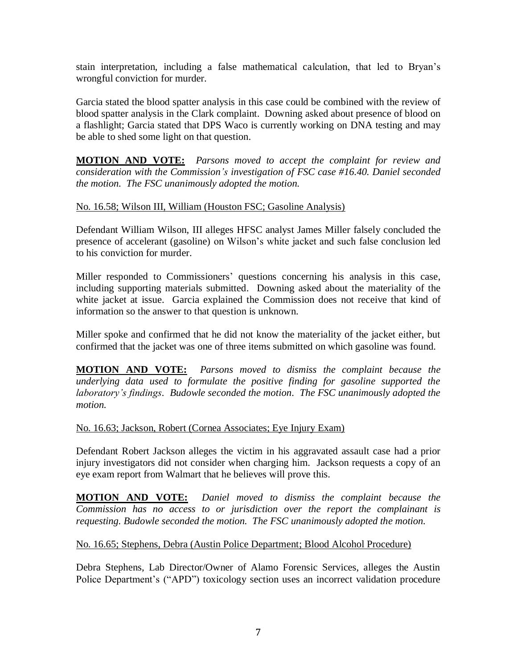stain interpretation, including a false mathematical calculation, that led to Bryan's wrongful conviction for murder.

Garcia stated the blood spatter analysis in this case could be combined with the review of blood spatter analysis in the Clark complaint. Downing asked about presence of blood on a flashlight; Garcia stated that DPS Waco is currently working on DNA testing and may be able to shed some light on that question.

**MOTION AND VOTE:** *Parsons moved to accept the complaint for review and consideration with the Commission's investigation of FSC case #16.40. Daniel seconded the motion. The FSC unanimously adopted the motion.*

# No. 16.58; Wilson III, William (Houston FSC; Gasoline Analysis)

Defendant William Wilson, III alleges HFSC analyst James Miller falsely concluded the presence of accelerant (gasoline) on Wilson's white jacket and such false conclusion led to his conviction for murder.

Miller responded to Commissioners' questions concerning his analysis in this case, including supporting materials submitted. Downing asked about the materiality of the white jacket at issue. Garcia explained the Commission does not receive that kind of information so the answer to that question is unknown.

Miller spoke and confirmed that he did not know the materiality of the jacket either, but confirmed that the jacket was one of three items submitted on which gasoline was found.

**MOTION AND VOTE:** *Parsons moved to dismiss the complaint because the underlying data used to formulate the positive finding for gasoline supported the laboratory's findings. Budowle seconded the motion. The FSC unanimously adopted the motion.*

## No. 16.63; Jackson, Robert (Cornea Associates; Eye Injury Exam)

Defendant Robert Jackson alleges the victim in his aggravated assault case had a prior injury investigators did not consider when charging him. Jackson requests a copy of an eye exam report from Walmart that he believes will prove this.

**MOTION AND VOTE:** *Daniel moved to dismiss the complaint because the Commission has no access to or jurisdiction over the report the complainant is requesting. Budowle seconded the motion. The FSC unanimously adopted the motion.*

## No. 16.65; Stephens, Debra (Austin Police Department; Blood Alcohol Procedure)

Debra Stephens, Lab Director/Owner of Alamo Forensic Services, alleges the Austin Police Department's ("APD") toxicology section uses an incorrect validation procedure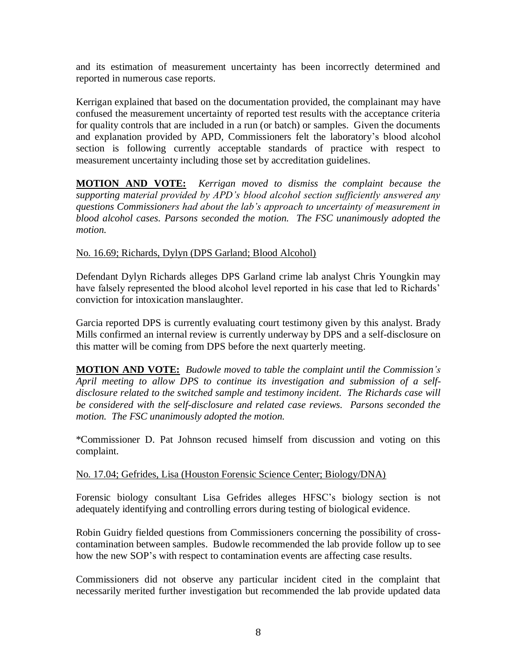and its estimation of measurement uncertainty has been incorrectly determined and reported in numerous case reports.

Kerrigan explained that based on the documentation provided, the complainant may have confused the measurement uncertainty of reported test results with the acceptance criteria for quality controls that are included in a run (or batch) or samples. Given the documents and explanation provided by APD, Commissioners felt the laboratory's blood alcohol section is following currently acceptable standards of practice with respect to measurement uncertainty including those set by accreditation guidelines.

**MOTION AND VOTE:** *Kerrigan moved to dismiss the complaint because the supporting material provided by APD's blood alcohol section sufficiently answered any questions Commissioners had about the lab's approach to uncertainty of measurement in blood alcohol cases. Parsons seconded the motion. The FSC unanimously adopted the motion.*

# No. 16.69; Richards, Dylyn (DPS Garland; Blood Alcohol)

Defendant Dylyn Richards alleges DPS Garland crime lab analyst Chris Youngkin may have falsely represented the blood alcohol level reported in his case that led to Richards' conviction for intoxication manslaughter.

Garcia reported DPS is currently evaluating court testimony given by this analyst. Brady Mills confirmed an internal review is currently underway by DPS and a self-disclosure on this matter will be coming from DPS before the next quarterly meeting.

**MOTION AND VOTE:** *Budowle moved to table the complaint until the Commission's April meeting to allow DPS to continue its investigation and submission of a selfdisclosure related to the switched sample and testimony incident. The Richards case will be considered with the self-disclosure and related case reviews. Parsons seconded the motion. The FSC unanimously adopted the motion.*

\*Commissioner D. Pat Johnson recused himself from discussion and voting on this complaint.

## No. 17.04; Gefrides, Lisa (Houston Forensic Science Center; Biology/DNA)

Forensic biology consultant Lisa Gefrides alleges HFSC's biology section is not adequately identifying and controlling errors during testing of biological evidence.

Robin Guidry fielded questions from Commissioners concerning the possibility of crosscontamination between samples. Budowle recommended the lab provide follow up to see how the new SOP's with respect to contamination events are affecting case results.

Commissioners did not observe any particular incident cited in the complaint that necessarily merited further investigation but recommended the lab provide updated data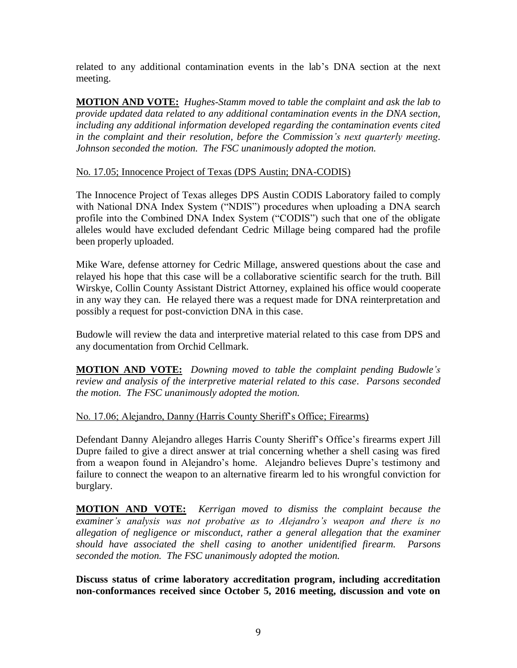related to any additional contamination events in the lab's DNA section at the next meeting.

**MOTION AND VOTE:** *Hughes-Stamm moved to table the complaint and ask the lab to provide updated data related to any additional contamination events in the DNA section, including any additional information developed regarding the contamination events cited in the complaint and their resolution, before the Commission's next quarterly meeting. Johnson seconded the motion. The FSC unanimously adopted the motion.*

## No. 17.05; Innocence Project of Texas (DPS Austin; DNA-CODIS)

The Innocence Project of Texas alleges DPS Austin CODIS Laboratory failed to comply with National DNA Index System ("NDIS") procedures when uploading a DNA search profile into the Combined DNA Index System ("CODIS") such that one of the obligate alleles would have excluded defendant Cedric Millage being compared had the profile been properly uploaded.

Mike Ware, defense attorney for Cedric Millage, answered questions about the case and relayed his hope that this case will be a collaborative scientific search for the truth. Bill Wirskye, Collin County Assistant District Attorney, explained his office would cooperate in any way they can. He relayed there was a request made for DNA reinterpretation and possibly a request for post-conviction DNA in this case.

Budowle will review the data and interpretive material related to this case from DPS and any documentation from Orchid Cellmark.

**MOTION AND VOTE:** *Downing moved to table the complaint pending Budowle's review and analysis of the interpretive material related to this case. Parsons seconded the motion. The FSC unanimously adopted the motion.*

## No. 17.06; Alejandro, Danny (Harris County Sheriff's Office; Firearms)

Defendant Danny Alejandro alleges Harris County Sheriff's Office's firearms expert Jill Dupre failed to give a direct answer at trial concerning whether a shell casing was fired from a weapon found in Alejandro's home. Alejandro believes Dupre's testimony and failure to connect the weapon to an alternative firearm led to his wrongful conviction for burglary.

**MOTION AND VOTE:** *Kerrigan moved to dismiss the complaint because the examiner's analysis was not probative as to Alejandro's weapon and there is no allegation of negligence or misconduct, rather a general allegation that the examiner should have associated the shell casing to another unidentified firearm. Parsons seconded the motion. The FSC unanimously adopted the motion.*

**Discuss status of crime laboratory accreditation program, including accreditation non-conformances received since October 5, 2016 meeting, discussion and vote on**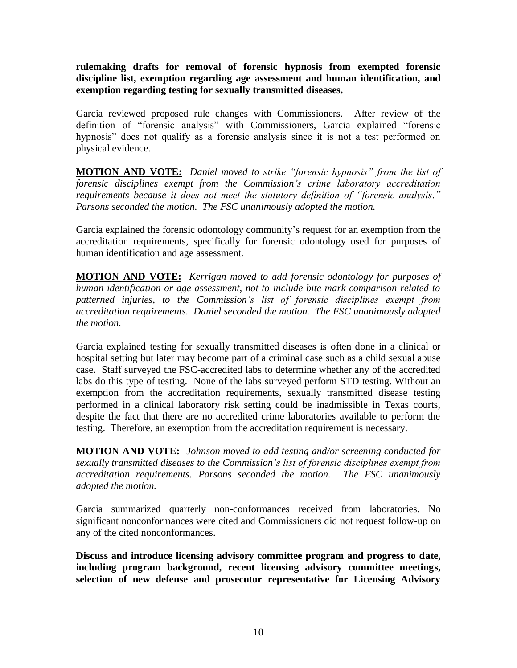**rulemaking drafts for removal of forensic hypnosis from exempted forensic discipline list, exemption regarding age assessment and human identification, and exemption regarding testing for sexually transmitted diseases.**

Garcia reviewed proposed rule changes with Commissioners. After review of the definition of "forensic analysis" with Commissioners, Garcia explained "forensic hypnosis" does not qualify as a forensic analysis since it is not a test performed on physical evidence.

**MOTION AND VOTE:** *Daniel moved to strike "forensic hypnosis" from the list of forensic disciplines exempt from the Commission's crime laboratory accreditation requirements because it does not meet the statutory definition of "forensic analysis." Parsons seconded the motion. The FSC unanimously adopted the motion.*

Garcia explained the forensic odontology community's request for an exemption from the accreditation requirements, specifically for forensic odontology used for purposes of human identification and age assessment.

**MOTION AND VOTE:** *Kerrigan moved to add forensic odontology for purposes of human identification or age assessment, not to include bite mark comparison related to patterned injuries, to the Commission's list of forensic disciplines exempt from accreditation requirements. Daniel seconded the motion. The FSC unanimously adopted the motion.*

Garcia explained testing for sexually transmitted diseases is often done in a clinical or hospital setting but later may become part of a criminal case such as a child sexual abuse case. Staff surveyed the FSC-accredited labs to determine whether any of the accredited labs do this type of testing. None of the labs surveyed perform STD testing. Without an exemption from the accreditation requirements, sexually transmitted disease testing performed in a clinical laboratory risk setting could be inadmissible in Texas courts, despite the fact that there are no accredited crime laboratories available to perform the testing. Therefore, an exemption from the accreditation requirement is necessary.

**MOTION AND VOTE:** *Johnson moved to add testing and/or screening conducted for sexually transmitted diseases to the Commission's list of forensic disciplines exempt from accreditation requirements. Parsons seconded the motion. The FSC unanimously adopted the motion.*

Garcia summarized quarterly non-conformances received from laboratories. No significant nonconformances were cited and Commissioners did not request follow-up on any of the cited nonconformances.

**Discuss and introduce licensing advisory committee program and progress to date, including program background, recent licensing advisory committee meetings, selection of new defense and prosecutor representative for Licensing Advisory**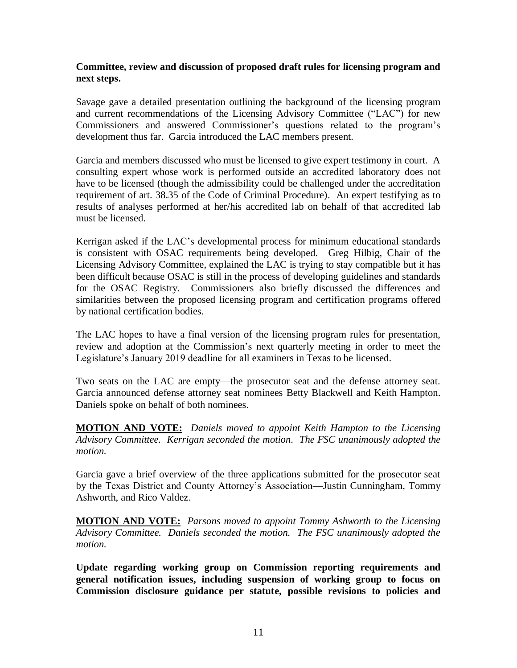# **Committee, review and discussion of proposed draft rules for licensing program and next steps.**

Savage gave a detailed presentation outlining the background of the licensing program and current recommendations of the Licensing Advisory Committee ("LAC") for new Commissioners and answered Commissioner's questions related to the program's development thus far. Garcia introduced the LAC members present.

Garcia and members discussed who must be licensed to give expert testimony in court. A consulting expert whose work is performed outside an accredited laboratory does not have to be licensed (though the admissibility could be challenged under the accreditation requirement of art. 38.35 of the Code of Criminal Procedure). An expert testifying as to results of analyses performed at her/his accredited lab on behalf of that accredited lab must be licensed.

Kerrigan asked if the LAC's developmental process for minimum educational standards is consistent with OSAC requirements being developed. Greg Hilbig, Chair of the Licensing Advisory Committee, explained the LAC is trying to stay compatible but it has been difficult because OSAC is still in the process of developing guidelines and standards for the OSAC Registry. Commissioners also briefly discussed the differences and similarities between the proposed licensing program and certification programs offered by national certification bodies.

The LAC hopes to have a final version of the licensing program rules for presentation, review and adoption at the Commission's next quarterly meeting in order to meet the Legislature's January 2019 deadline for all examiners in Texas to be licensed.

Two seats on the LAC are empty—the prosecutor seat and the defense attorney seat. Garcia announced defense attorney seat nominees Betty Blackwell and Keith Hampton. Daniels spoke on behalf of both nominees.

**MOTION AND VOTE:** *Daniels moved to appoint Keith Hampton to the Licensing Advisory Committee. Kerrigan seconded the motion. The FSC unanimously adopted the motion.*

Garcia gave a brief overview of the three applications submitted for the prosecutor seat by the Texas District and County Attorney's Association—Justin Cunningham, Tommy Ashworth, and Rico Valdez.

**MOTION AND VOTE:** *Parsons moved to appoint Tommy Ashworth to the Licensing Advisory Committee. Daniels seconded the motion. The FSC unanimously adopted the motion.*

**Update regarding working group on Commission reporting requirements and general notification issues, including suspension of working group to focus on Commission disclosure guidance per statute, possible revisions to policies and**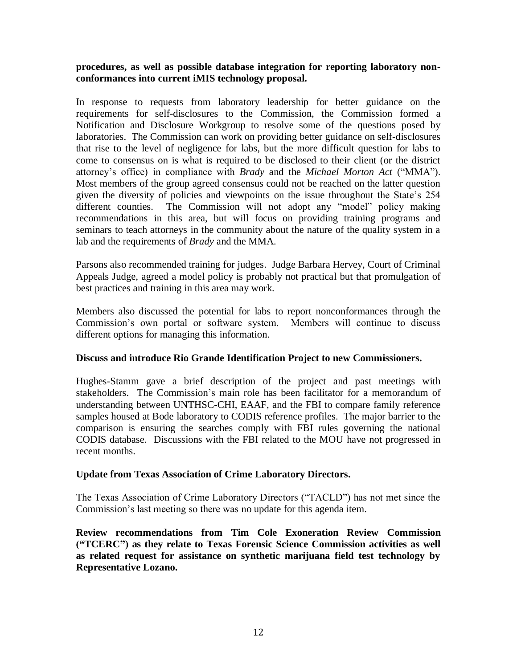## **procedures, as well as possible database integration for reporting laboratory nonconformances into current iMIS technology proposal.**

In response to requests from laboratory leadership for better guidance on the requirements for self-disclosures to the Commission, the Commission formed a Notification and Disclosure Workgroup to resolve some of the questions posed by laboratories. The Commission can work on providing better guidance on self-disclosures that rise to the level of negligence for labs, but the more difficult question for labs to come to consensus on is what is required to be disclosed to their client (or the district attorney's office) in compliance with *Brady* and the *Michael Morton Act* ("MMA"). Most members of the group agreed consensus could not be reached on the latter question given the diversity of policies and viewpoints on the issue throughout the State's 254 different counties. The Commission will not adopt any "model" policy making recommendations in this area, but will focus on providing training programs and seminars to teach attorneys in the community about the nature of the quality system in a lab and the requirements of *Brady* and the MMA.

Parsons also recommended training for judges. Judge Barbara Hervey, Court of Criminal Appeals Judge, agreed a model policy is probably not practical but that promulgation of best practices and training in this area may work.

Members also discussed the potential for labs to report nonconformances through the Commission's own portal or software system. Members will continue to discuss different options for managing this information.

# **Discuss and introduce Rio Grande Identification Project to new Commissioners.**

Hughes-Stamm gave a brief description of the project and past meetings with stakeholders. The Commission's main role has been facilitator for a memorandum of understanding between UNTHSC-CHI, EAAF, and the FBI to compare family reference samples housed at Bode laboratory to CODIS reference profiles. The major barrier to the comparison is ensuring the searches comply with FBI rules governing the national CODIS database. Discussions with the FBI related to the MOU have not progressed in recent months.

## **Update from Texas Association of Crime Laboratory Directors.**

The Texas Association of Crime Laboratory Directors ("TACLD") has not met since the Commission's last meeting so there was no update for this agenda item.

**Review recommendations from Tim Cole Exoneration Review Commission ("TCERC") as they relate to Texas Forensic Science Commission activities as well as related request for assistance on synthetic marijuana field test technology by Representative Lozano.**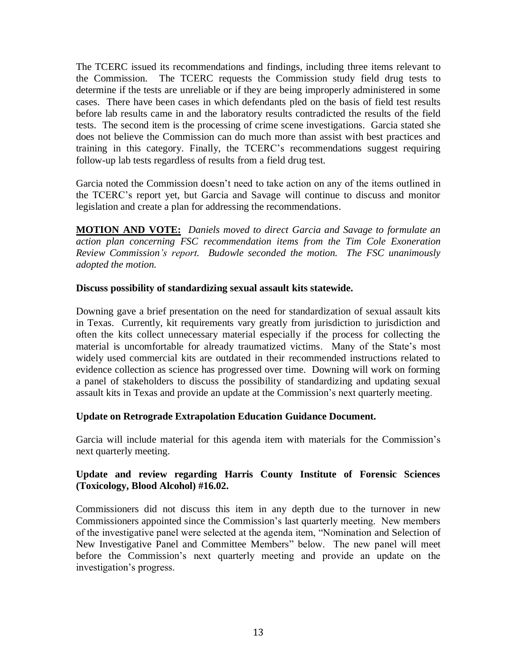The TCERC issued its recommendations and findings, including three items relevant to the Commission. The TCERC requests the Commission study field drug tests to determine if the tests are unreliable or if they are being improperly administered in some cases. There have been cases in which defendants pled on the basis of field test results before lab results came in and the laboratory results contradicted the results of the field tests. The second item is the processing of crime scene investigations. Garcia stated she does not believe the Commission can do much more than assist with best practices and training in this category. Finally, the TCERC's recommendations suggest requiring follow-up lab tests regardless of results from a field drug test.

Garcia noted the Commission doesn't need to take action on any of the items outlined in the TCERC's report yet, but Garcia and Savage will continue to discuss and monitor legislation and create a plan for addressing the recommendations.

**MOTION AND VOTE:** *Daniels moved to direct Garcia and Savage to formulate an action plan concerning FSC recommendation items from the Tim Cole Exoneration Review Commission's report. Budowle seconded the motion. The FSC unanimously adopted the motion.*

# **Discuss possibility of standardizing sexual assault kits statewide.**

Downing gave a brief presentation on the need for standardization of sexual assault kits in Texas. Currently, kit requirements vary greatly from jurisdiction to jurisdiction and often the kits collect unnecessary material especially if the process for collecting the material is uncomfortable for already traumatized victims. Many of the State's most widely used commercial kits are outdated in their recommended instructions related to evidence collection as science has progressed over time. Downing will work on forming a panel of stakeholders to discuss the possibility of standardizing and updating sexual assault kits in Texas and provide an update at the Commission's next quarterly meeting.

## **Update on Retrograde Extrapolation Education Guidance Document.**

Garcia will include material for this agenda item with materials for the Commission's next quarterly meeting.

# **Update and review regarding Harris County Institute of Forensic Sciences (Toxicology, Blood Alcohol) #16.02.**

Commissioners did not discuss this item in any depth due to the turnover in new Commissioners appointed since the Commission's last quarterly meeting. New members of the investigative panel were selected at the agenda item, "Nomination and Selection of New Investigative Panel and Committee Members" below. The new panel will meet before the Commission's next quarterly meeting and provide an update on the investigation's progress.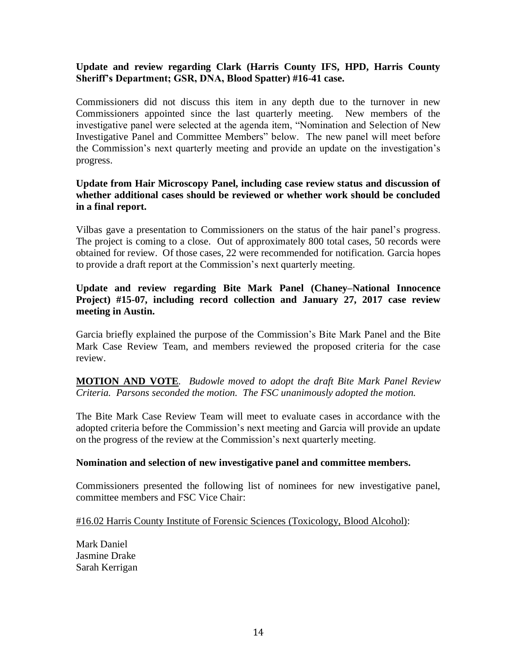# **Update and review regarding Clark (Harris County IFS, HPD, Harris County Sheriff's Department; GSR, DNA, Blood Spatter) #16-41 case.**

Commissioners did not discuss this item in any depth due to the turnover in new Commissioners appointed since the last quarterly meeting. New members of the investigative panel were selected at the agenda item, "Nomination and Selection of New Investigative Panel and Committee Members" below. The new panel will meet before the Commission's next quarterly meeting and provide an update on the investigation's progress.

# **Update from Hair Microscopy Panel, including case review status and discussion of whether additional cases should be reviewed or whether work should be concluded in a final report.**

Vilbas gave a presentation to Commissioners on the status of the hair panel's progress. The project is coming to a close. Out of approximately 800 total cases, 50 records were obtained for review. Of those cases, 22 were recommended for notification. Garcia hopes to provide a draft report at the Commission's next quarterly meeting.

# **Update and review regarding Bite Mark Panel (Chaney–National Innocence Project) #15-07, including record collection and January 27, 2017 case review meeting in Austin.**

Garcia briefly explained the purpose of the Commission's Bite Mark Panel and the Bite Mark Case Review Team, and members reviewed the proposed criteria for the case review.

**MOTION AND VOTE***. Budowle moved to adopt the draft Bite Mark Panel Review Criteria. Parsons seconded the motion. The FSC unanimously adopted the motion.*

The Bite Mark Case Review Team will meet to evaluate cases in accordance with the adopted criteria before the Commission's next meeting and Garcia will provide an update on the progress of the review at the Commission's next quarterly meeting.

## **Nomination and selection of new investigative panel and committee members.**

Commissioners presented the following list of nominees for new investigative panel, committee members and FSC Vice Chair:

#16.02 Harris County Institute of Forensic Sciences (Toxicology, Blood Alcohol):

Mark Daniel Jasmine Drake Sarah Kerrigan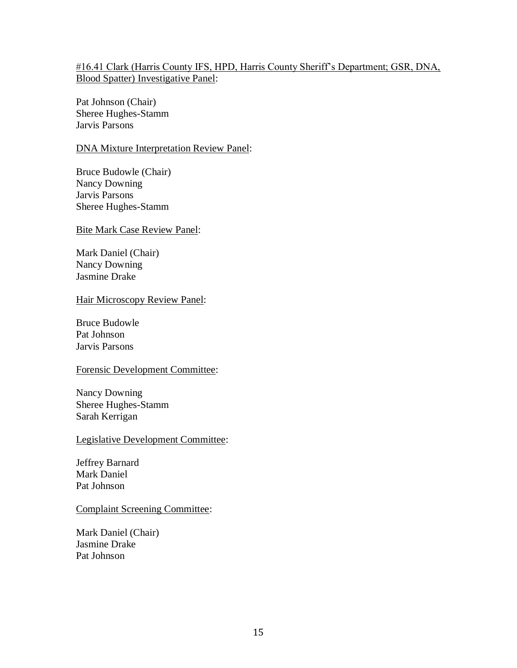# #16.41 Clark (Harris County IFS, HPD, Harris County Sheriff's Department; GSR, DNA, Blood Spatter) Investigative Panel:

Pat Johnson (Chair) Sheree Hughes-Stamm Jarvis Parsons

#### DNA Mixture Interpretation Review Panel:

Bruce Budowle (Chair) Nancy Downing Jarvis Parsons Sheree Hughes-Stamm

#### Bite Mark Case Review Panel:

Mark Daniel (Chair) Nancy Downing Jasmine Drake

#### Hair Microscopy Review Panel:

Bruce Budowle Pat Johnson Jarvis Parsons

#### Forensic Development Committee:

Nancy Downing Sheree Hughes-Stamm Sarah Kerrigan

#### Legislative Development Committee:

Jeffrey Barnard Mark Daniel Pat Johnson

## Complaint Screening Committee:

Mark Daniel (Chair) Jasmine Drake Pat Johnson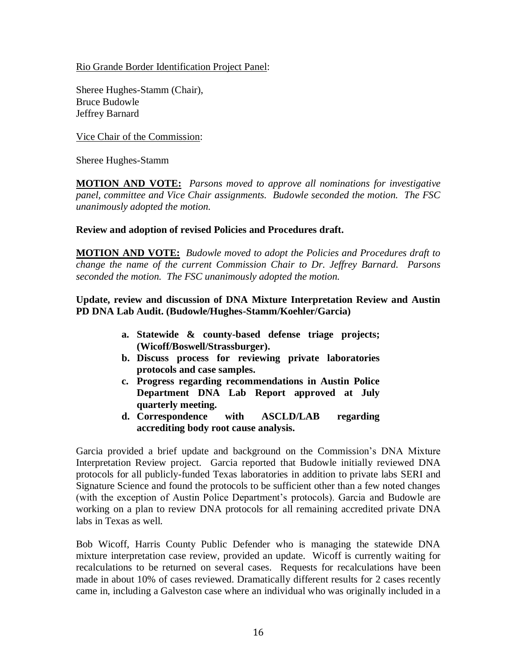Rio Grande Border Identification Project Panel:

Sheree Hughes-Stamm (Chair), Bruce Budowle Jeffrey Barnard

Vice Chair of the Commission:

Sheree Hughes-Stamm

**MOTION AND VOTE:** *Parsons moved to approve all nominations for investigative panel, committee and Vice Chair assignments. Budowle seconded the motion. The FSC unanimously adopted the motion.*

## **Review and adoption of revised Policies and Procedures draft.**

**MOTION AND VOTE:** *Budowle moved to adopt the Policies and Procedures draft to change the name of the current Commission Chair to Dr. Jeffrey Barnard. Parsons seconded the motion. The FSC unanimously adopted the motion.*

## **Update, review and discussion of DNA Mixture Interpretation Review and Austin PD DNA Lab Audit. (Budowle/Hughes-Stamm/Koehler/Garcia)**

- **a. Statewide & county-based defense triage projects; (Wicoff/Boswell/Strassburger).**
- **b. Discuss process for reviewing private laboratories protocols and case samples.**
- **c. Progress regarding recommendations in Austin Police Department DNA Lab Report approved at July quarterly meeting.**
- **d. Correspondence with ASCLD/LAB regarding accrediting body root cause analysis.**

Garcia provided a brief update and background on the Commission's DNA Mixture Interpretation Review project. Garcia reported that Budowle initially reviewed DNA protocols for all publicly-funded Texas laboratories in addition to private labs SERI and Signature Science and found the protocols to be sufficient other than a few noted changes (with the exception of Austin Police Department's protocols). Garcia and Budowle are working on a plan to review DNA protocols for all remaining accredited private DNA labs in Texas as well.

Bob Wicoff, Harris County Public Defender who is managing the statewide DNA mixture interpretation case review, provided an update. Wicoff is currently waiting for recalculations to be returned on several cases. Requests for recalculations have been made in about 10% of cases reviewed. Dramatically different results for 2 cases recently came in, including a Galveston case where an individual who was originally included in a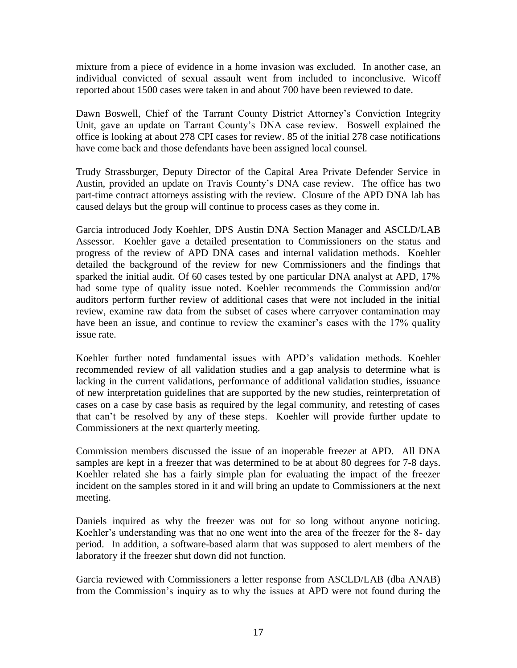mixture from a piece of evidence in a home invasion was excluded. In another case, an individual convicted of sexual assault went from included to inconclusive. Wicoff reported about 1500 cases were taken in and about 700 have been reviewed to date.

Dawn Boswell, Chief of the Tarrant County District Attorney's Conviction Integrity Unit, gave an update on Tarrant County's DNA case review. Boswell explained the office is looking at about 278 CPI cases for review. 85 of the initial 278 case notifications have come back and those defendants have been assigned local counsel.

Trudy Strassburger, Deputy Director of the Capital Area Private Defender Service in Austin, provided an update on Travis County's DNA case review. The office has two part-time contract attorneys assisting with the review. Closure of the APD DNA lab has caused delays but the group will continue to process cases as they come in.

Garcia introduced Jody Koehler, DPS Austin DNA Section Manager and ASCLD/LAB Assessor. Koehler gave a detailed presentation to Commissioners on the status and progress of the review of APD DNA cases and internal validation methods. Koehler detailed the background of the review for new Commissioners and the findings that sparked the initial audit. Of 60 cases tested by one particular DNA analyst at APD, 17% had some type of quality issue noted. Koehler recommends the Commission and/or auditors perform further review of additional cases that were not included in the initial review, examine raw data from the subset of cases where carryover contamination may have been an issue, and continue to review the examiner's cases with the 17% quality issue rate.

Koehler further noted fundamental issues with APD's validation methods. Koehler recommended review of all validation studies and a gap analysis to determine what is lacking in the current validations, performance of additional validation studies, issuance of new interpretation guidelines that are supported by the new studies, reinterpretation of cases on a case by case basis as required by the legal community, and retesting of cases that can't be resolved by any of these steps. Koehler will provide further update to Commissioners at the next quarterly meeting.

Commission members discussed the issue of an inoperable freezer at APD. All DNA samples are kept in a freezer that was determined to be at about 80 degrees for 7-8 days. Koehler related she has a fairly simple plan for evaluating the impact of the freezer incident on the samples stored in it and will bring an update to Commissioners at the next meeting.

Daniels inquired as why the freezer was out for so long without anyone noticing. Koehler's understanding was that no one went into the area of the freezer for the 8- day period. In addition, a software-based alarm that was supposed to alert members of the laboratory if the freezer shut down did not function.

Garcia reviewed with Commissioners a letter response from ASCLD/LAB (dba ANAB) from the Commission's inquiry as to why the issues at APD were not found during the